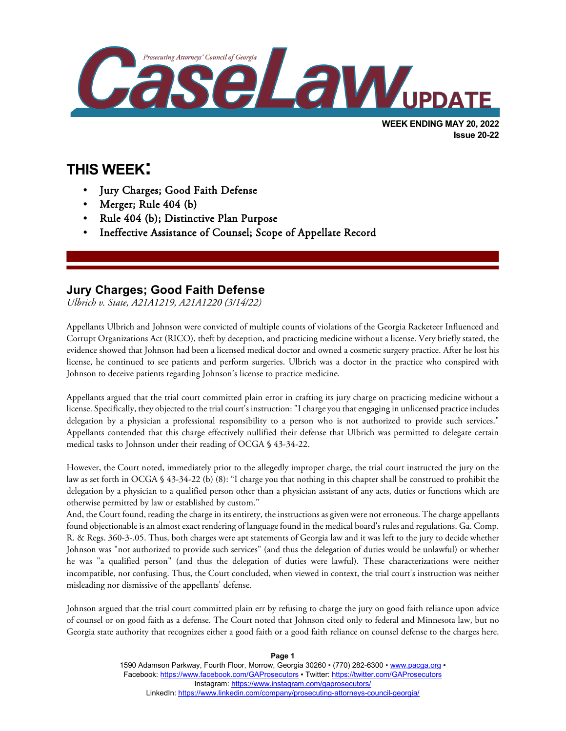

**Issue 20-22**

# **THIS WEEK:**

l

- Jury Charges; Good Faith Defense
- Merger; Rule 404 (b)
- Rule 404 (b); Distinctive Plan Purpose
- Ineffective Assistance of Counsel; Scope of Appellate Record

## **Jury Charges; Good Faith Defense**

*Ulbrich v. State, A21A1219, A21A1220 (3/14/22)*

Appellants Ulbrich and Johnson were convicted of multiple counts of violations of the Georgia Racketeer Influenced and Corrupt Organizations Act (RICO), theft by deception, and practicing medicine without a license. Very briefly stated, the evidence showed that Johnson had been a licensed medical doctor and owned a cosmetic surgery practice. After he lost his license, he continued to see patients and perform surgeries. Ulbrich was a doctor in the practice who conspired with Johnson to deceive patients regarding Johnson's license to practice medicine.

Appellants argued that the trial court committed plain error in crafting its jury charge on practicing medicine without a license. Specifically, they objected to the trial court's instruction: "I charge you that engaging in unlicensed practice includes delegation by a physician a professional responsibility to a person who is not authorized to provide such services." Appellants contended that this charge effectively nullified their defense that Ulbrich was permitted to delegate certain medical tasks to Johnson under their reading of OCGA § 43-34-22.

However, the Court noted, immediately prior to the allegedly improper charge, the trial court instructed the jury on the law as set forth in OCGA § 43-34-22 (b) (8): "I charge you that nothing in this chapter shall be construed to prohibit the delegation by a physician to a qualified person other than a physician assistant of any acts, duties or functions which are otherwise permitted by law or established by custom."

And, the Court found, reading the charge in its entirety, the instructions as given were not erroneous. The charge appellants found objectionable is an almost exact rendering of language found in the medical board's rules and regulations. Ga. Comp. R. & Regs. 360-3-.05. Thus, both charges were apt statements of Georgia law and it was left to the jury to decide whether Johnson was "not authorized to provide such services" (and thus the delegation of duties would be unlawful) or whether he was "a qualified person" (and thus the delegation of duties were lawful). These characterizations were neither incompatible, nor confusing. Thus, the Court concluded, when viewed in context, the trial court's instruction was neither misleading nor dismissive of the appellants' defense.

Johnson argued that the trial court committed plain err by refusing to charge the jury on good faith reliance upon advice of counsel or on good faith as a defense. The Court noted that Johnson cited only to federal and Minnesota law, but no Georgia state authority that recognizes either a good faith or a good faith reliance on counsel defense to the charges here.

> 1590 Adamson Parkway, Fourth Floor, Morrow, Georgia 30260 · (770) 282-6300 · [www.pacga.org](http://www.pacga.org/) · Facebook[: https://www.facebook.com/GAProsecutors](https://www.facebook.com/GAProsecutors) ▪ Twitter:<https://twitter.com/GAProsecutors> Instagram[: https://www.instagram.com/gaprosecutors/](https://www.instagram.com/gaprosecutors/) LinkedIn:<https://www.linkedin.com/company/prosecuting-attorneys-council-georgia/>

**Page 1**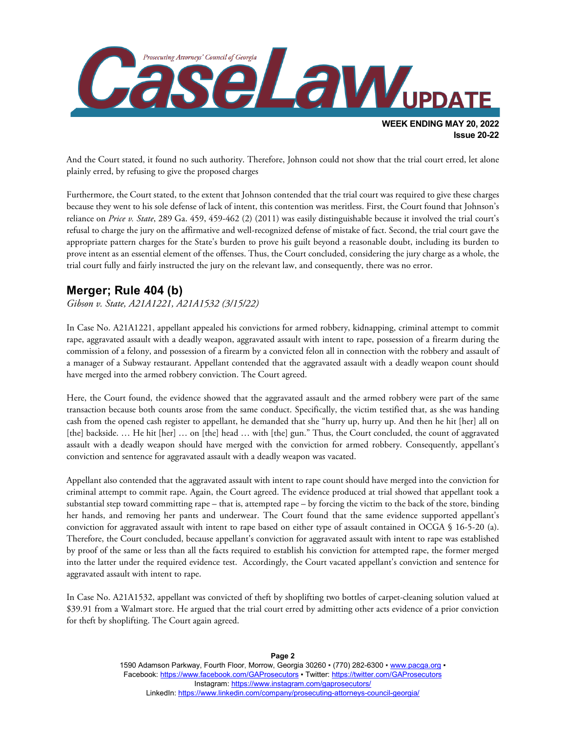

And the Court stated, it found no such authority. Therefore, Johnson could not show that the trial court erred, let alone plainly erred, by refusing to give the proposed charges

Furthermore, the Court stated, to the extent that Johnson contended that the trial court was required to give these charges because they went to his sole defense of lack of intent, this contention was meritless. First, the Court found that Johnson's reliance on *Price v. State*, 289 Ga. 459, 459-462 (2) (2011) was easily distinguishable because it involved the trial court's refusal to charge the jury on the affirmative and well-recognized defense of mistake of fact. Second, the trial court gave the appropriate pattern charges for the State's burden to prove his guilt beyond a reasonable doubt, including its burden to prove intent as an essential element of the offenses. Thus, the Court concluded, considering the jury charge as a whole, the trial court fully and fairly instructed the jury on the relevant law, and consequently, there was no error.

#### **Merger; Rule 404 (b)**

*Gibson v. State, A21A1221, A21A1532 (3/15/22)*

In Case No. A21A1221, appellant appealed his convictions for armed robbery, kidnapping, criminal attempt to commit rape, aggravated assault with a deadly weapon, aggravated assault with intent to rape, possession of a firearm during the commission of a felony, and possession of a firearm by a convicted felon all in connection with the robbery and assault of a manager of a Subway restaurant. Appellant contended that the aggravated assault with a deadly weapon count should have merged into the armed robbery conviction. The Court agreed.

Here, the Court found, the evidence showed that the aggravated assault and the armed robbery were part of the same transaction because both counts arose from the same conduct. Specifically, the victim testified that, as she was handing cash from the opened cash register to appellant, he demanded that she "hurry up, hurry up. And then he hit [her] all on [the] backside. … He hit [her] … on [the] head … with [the] gun." Thus, the Court concluded, the count of aggravated assault with a deadly weapon should have merged with the conviction for armed robbery. Consequently, appellant's conviction and sentence for aggravated assault with a deadly weapon was vacated.

Appellant also contended that the aggravated assault with intent to rape count should have merged into the conviction for criminal attempt to commit rape. Again, the Court agreed. The evidence produced at trial showed that appellant took a substantial step toward committing rape – that is, attempted rape – by forcing the victim to the back of the store, binding her hands, and removing her pants and underwear. The Court found that the same evidence supported appellant's conviction for aggravated assault with intent to rape based on either type of assault contained in OCGA § 16-5-20 (a). Therefore, the Court concluded, because appellant's conviction for aggravated assault with intent to rape was established by proof of the same or less than all the facts required to establish his conviction for attempted rape, the former merged into the latter under the required evidence test. Accordingly, the Court vacated appellant's conviction and sentence for aggravated assault with intent to rape.

In Case No. A21A1532, appellant was convicted of theft by shoplifting two bottles of carpet-cleaning solution valued at \$39.91 from a Walmart store. He argued that the trial court erred by admitting other acts evidence of a prior conviction for theft by shoplifting. The Court again agreed.

> **Page 2** 1590 Adamson Parkway, Fourth Floor, Morrow, Georgia 30260 · (770) 282-6300 · [www.pacga.org](http://www.pacga.org/) · Facebook[: https://www.facebook.com/GAProsecutors](https://www.facebook.com/GAProsecutors) ▪ Twitter:<https://twitter.com/GAProsecutors> Instagram[: https://www.instagram.com/gaprosecutors/](https://www.instagram.com/gaprosecutors/) LinkedIn:<https://www.linkedin.com/company/prosecuting-attorneys-council-georgia/>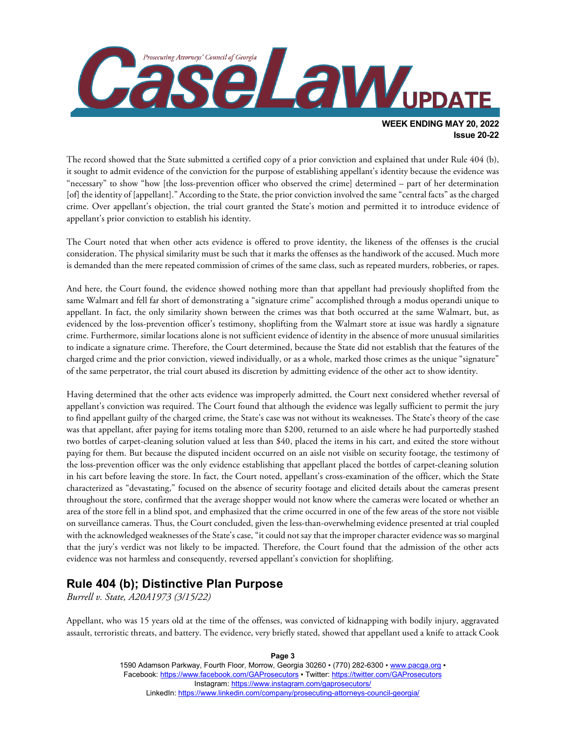

**Issue 20-22**

The record showed that the State submitted a certified copy of a prior conviction and explained that under Rule 404 (b), it sought to admit evidence of the conviction for the purpose of establishing appellant's identity because the evidence was "necessary" to show "how [the loss-prevention officer who observed the crime] determined – part of her determination [of] the identity of [appellant]." According to the State, the prior conviction involved the same "central facts" as the charged crime. Over appellant's objection, the trial court granted the State's motion and permitted it to introduce evidence of appellant's prior conviction to establish his identity.

The Court noted that when other acts evidence is offered to prove identity, the likeness of the offenses is the crucial consideration. The physical similarity must be such that it marks the offenses as the handiwork of the accused. Much more is demanded than the mere repeated commission of crimes of the same class, such as repeated murders, robberies, or rapes.

And here, the Court found, the evidence showed nothing more than that appellant had previously shoplifted from the same Walmart and fell far short of demonstrating a "signature crime" accomplished through a modus operandi unique to appellant. In fact, the only similarity shown between the crimes was that both occurred at the same Walmart, but, as evidenced by the loss-prevention officer's testimony, shoplifting from the Walmart store at issue was hardly a signature crime. Furthermore, similar locations alone is not sufficient evidence of identity in the absence of more unusual similarities to indicate a signature crime. Therefore, the Court determined, because the State did not establish that the features of the charged crime and the prior conviction, viewed individually, or as a whole, marked those crimes as the unique "signature" of the same perpetrator, the trial court abused its discretion by admitting evidence of the other act to show identity.

Having determined that the other acts evidence was improperly admitted, the Court next considered whether reversal of appellant's conviction was required. The Court found that although the evidence was legally sufficient to permit the jury to find appellant guilty of the charged crime, the State's case was not without its weaknesses. The State's theory of the case was that appellant, after paying for items totaling more than \$200, returned to an aisle where he had purportedly stashed two bottles of carpet-cleaning solution valued at less than \$40, placed the items in his cart, and exited the store without paying for them. But because the disputed incident occurred on an aisle not visible on security footage, the testimony of the loss-prevention officer was the only evidence establishing that appellant placed the bottles of carpet-cleaning solution in his cart before leaving the store. In fact, the Court noted, appellant's cross-examination of the officer, which the State characterized as "devastating," focused on the absence of security footage and elicited details about the cameras present throughout the store, confirmed that the average shopper would not know where the cameras were located or whether an area of the store fell in a blind spot, and emphasized that the crime occurred in one of the few areas of the store not visible on surveillance cameras. Thus, the Court concluded, given the less-than-overwhelming evidence presented at trial coupled with the acknowledged weaknesses of the State's case, "it could not say that the improper character evidence was so marginal that the jury's verdict was not likely to be impacted. Therefore, the Court found that the admission of the other acts evidence was not harmless and consequently, reversed appellant's conviction for shoplifting.

#### **Rule 404 (b); Distinctive Plan Purpose**

*Burrell v. State, A20A1973 (3/15/22)*

Appellant, who was 15 years old at the time of the offenses, was convicted of kidnapping with bodily injury, aggravated assault, terroristic threats, and battery. The evidence, very briefly stated, showed that appellant used a knife to attack Cook

#### 1590 Adamson Parkway, Fourth Floor, Morrow, Georgia 30260 · (770) 282-6300 · [www.pacga.org](http://www.pacga.org/) · Facebook[: https://www.facebook.com/GAProsecutors](https://www.facebook.com/GAProsecutors) ▪ Twitter:<https://twitter.com/GAProsecutors> Instagram[: https://www.instagram.com/gaprosecutors/](https://www.instagram.com/gaprosecutors/) LinkedIn:<https://www.linkedin.com/company/prosecuting-attorneys-council-georgia/>

**Page 3**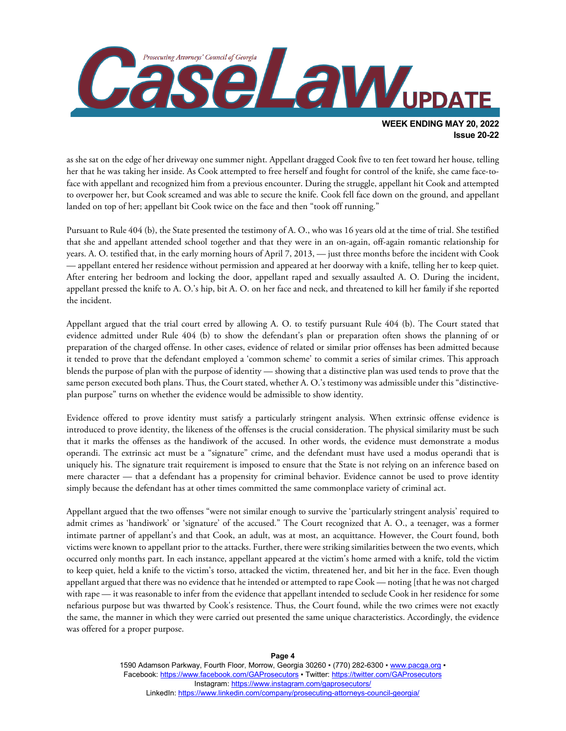

as she sat on the edge of her driveway one summer night. Appellant dragged Cook five to ten feet toward her house, telling her that he was taking her inside. As Cook attempted to free herself and fought for control of the knife, she came face-toface with appellant and recognized him from a previous encounter. During the struggle, appellant hit Cook and attempted to overpower her, but Cook screamed and was able to secure the knife. Cook fell face down on the ground, and appellant landed on top of her; appellant bit Cook twice on the face and then "took off running."

Pursuant to Rule 404 (b), the State presented the testimony of A. O., who was 16 years old at the time of trial. She testified that she and appellant attended school together and that they were in an on-again, off-again romantic relationship for years. A. O. testified that, in the early morning hours of April 7, 2013, — just three months before the incident with Cook — appellant entered her residence without permission and appeared at her doorway with a knife, telling her to keep quiet. After entering her bedroom and locking the door, appellant raped and sexually assaulted A. O. During the incident, appellant pressed the knife to A. O.'s hip, bit A. O. on her face and neck, and threatened to kill her family if she reported the incident.

Appellant argued that the trial court erred by allowing A. O. to testify pursuant Rule 404 (b). The Court stated that evidence admitted under Rule 404 (b) to show the defendant's plan or preparation often shows the planning of or preparation of the charged offense. In other cases, evidence of related or similar prior offenses has been admitted because it tended to prove that the defendant employed a 'common scheme' to commit a series of similar crimes. This approach blends the purpose of plan with the purpose of identity — showing that a distinctive plan was used tends to prove that the same person executed both plans. Thus, the Court stated, whether A. O.'s testimony was admissible under this "distinctiveplan purpose" turns on whether the evidence would be admissible to show identity.

Evidence offered to prove identity must satisfy a particularly stringent analysis. When extrinsic offense evidence is introduced to prove identity, the likeness of the offenses is the crucial consideration. The physical similarity must be such that it marks the offenses as the handiwork of the accused. In other words, the evidence must demonstrate a modus operandi. The extrinsic act must be a "signature" crime, and the defendant must have used a modus operandi that is uniquely his. The signature trait requirement is imposed to ensure that the State is not relying on an inference based on mere character — that a defendant has a propensity for criminal behavior. Evidence cannot be used to prove identity simply because the defendant has at other times committed the same commonplace variety of criminal act.

Appellant argued that the two offenses "were not similar enough to survive the 'particularly stringent analysis' required to admit crimes as 'handiwork' or 'signature' of the accused." The Court recognized that A. O., a teenager, was a former intimate partner of appellant's and that Cook, an adult, was at most, an acquittance. However, the Court found, both victims were known to appellant prior to the attacks. Further, there were striking similarities between the two events, which occurred only months part. In each instance, appellant appeared at the victim's home armed with a knife, told the victim to keep quiet, held a knife to the victim's torso, attacked the victim, threatened her, and bit her in the face. Even though appellant argued that there was no evidence that he intended or attempted to rape Cook — noting [that he was not charged with rape — it was reasonable to infer from the evidence that appellant intended to seclude Cook in her residence for some nefarious purpose but was thwarted by Cook's resistence. Thus, the Court found, while the two crimes were not exactly the same, the manner in which they were carried out presented the same unique characteristics. Accordingly, the evidence was offered for a proper purpose.

> 1590 Adamson Parkway, Fourth Floor, Morrow, Georgia 30260 · (770) 282-6300 · [www.pacga.org](http://www.pacga.org/) · Facebook[: https://www.facebook.com/GAProsecutors](https://www.facebook.com/GAProsecutors) ▪ Twitter:<https://twitter.com/GAProsecutors> Instagram[: https://www.instagram.com/gaprosecutors/](https://www.instagram.com/gaprosecutors/) LinkedIn:<https://www.linkedin.com/company/prosecuting-attorneys-council-georgia/>

#### **Page 4**